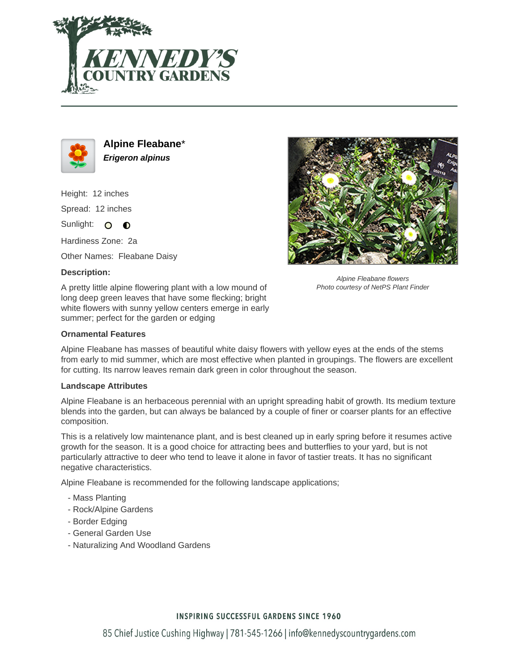



**Alpine Fleabane**\* **Erigeron alpinus**

Height: 12 inches Spread: 12 inches Sunlight: O **O** 

Hardiness Zone: 2a

Other Names: Fleabane Daisy

## **Description:**

A pretty little alpine flowering plant with a low mound of long deep green leaves that have some flecking; bright white flowers with sunny yellow centers emerge in early summer; perfect for the garden or edging



Alpine Fleabane flowers Photo courtesy of NetPS Plant Finder

### **Ornamental Features**

Alpine Fleabane has masses of beautiful white daisy flowers with yellow eyes at the ends of the stems from early to mid summer, which are most effective when planted in groupings. The flowers are excellent for cutting. Its narrow leaves remain dark green in color throughout the season.

#### **Landscape Attributes**

Alpine Fleabane is an herbaceous perennial with an upright spreading habit of growth. Its medium texture blends into the garden, but can always be balanced by a couple of finer or coarser plants for an effective composition.

This is a relatively low maintenance plant, and is best cleaned up in early spring before it resumes active growth for the season. It is a good choice for attracting bees and butterflies to your yard, but is not particularly attractive to deer who tend to leave it alone in favor of tastier treats. It has no significant negative characteristics.

Alpine Fleabane is recommended for the following landscape applications;

- Mass Planting
- Rock/Alpine Gardens
- Border Edging
- General Garden Use
- Naturalizing And Woodland Gardens

## **INSPIRING SUCCESSFUL GARDENS SINCE 1960**